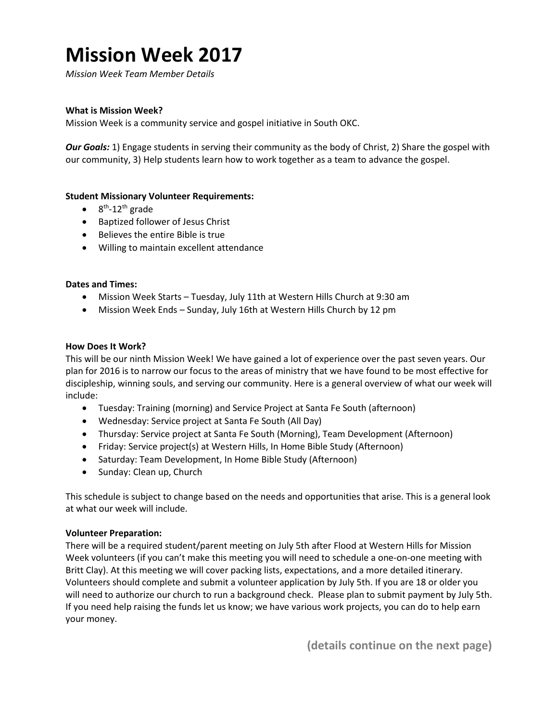# **Mission Week 2017**

*Mission Week Team Member Details*

# **What is Mission Week?**

Mission Week is a community service and gospel initiative in South OKC.

*Our Goals:* 1) Engage students in serving their community as the body of Christ, 2) Share the gospel with our community, 3) Help students learn how to work together as a team to advance the gospel.

# **Student Missionary Volunteer Requirements:**

- $\bullet$  8<sup>th</sup>-12<sup>th</sup> grade
- Baptized follower of Jesus Christ
- Believes the entire Bible is true
- Willing to maintain excellent attendance

# **Dates and Times:**

- Mission Week Starts Tuesday, July 11th at Western Hills Church at 9:30 am
- Mission Week Ends Sunday, July 16th at Western Hills Church by 12 pm

#### **How Does It Work?**

This will be our ninth Mission Week! We have gained a lot of experience over the past seven years. Our plan for 2016 is to narrow our focus to the areas of ministry that we have found to be most effective for discipleship, winning souls, and serving our community. Here is a general overview of what our week will include:

- Tuesday: Training (morning) and Service Project at Santa Fe South (afternoon)
- Wednesday: Service project at Santa Fe South (All Day)
- Thursday: Service project at Santa Fe South (Morning), Team Development (Afternoon)
- Friday: Service project(s) at Western Hills, In Home Bible Study (Afternoon)
- Saturday: Team Development, In Home Bible Study (Afternoon)
- Sunday: Clean up, Church

This schedule is subject to change based on the needs and opportunities that arise. This is a general look at what our week will include.

# **Volunteer Preparation:**

There will be a required student/parent meeting on July 5th after Flood at Western Hills for Mission Week volunteers (if you can't make this meeting you will need to schedule a one-on-one meeting with Britt Clay). At this meeting we will cover packing lists, expectations, and a more detailed itinerary. Volunteers should complete and submit a volunteer application by July 5th. If you are 18 or older you will need to authorize our church to run a background check. Please plan to submit payment by July 5th. If you need help raising the funds let us know; we have various work projects, you can do to help earn your money.

**(details continue on the next page)**